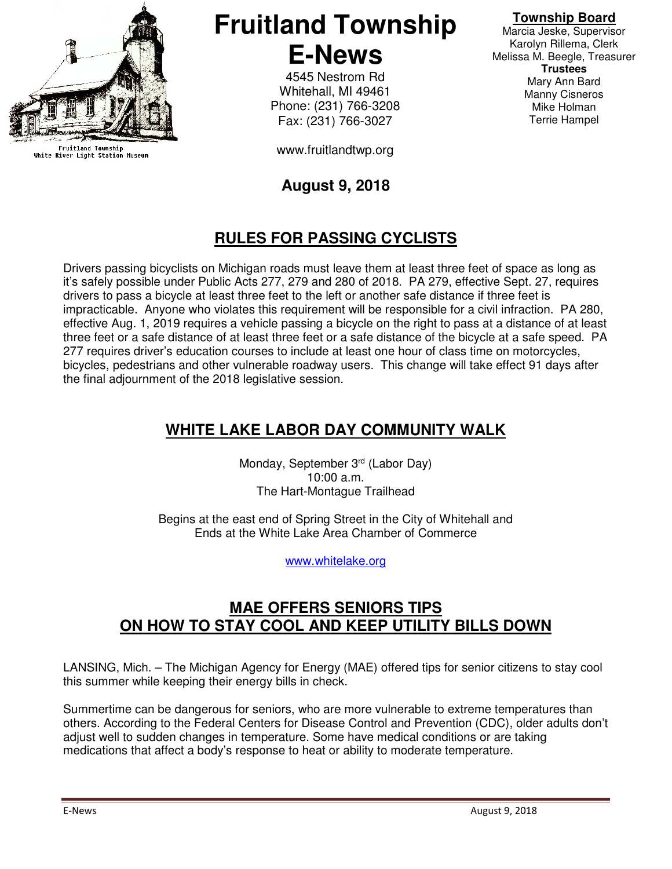

Fruitland Township<br>White River Light Station Museum

# **Fruitland Township E-News**

4545 Nestrom Rd Whitehall, MI 49461 Phone: (231) 766-3208 Fax: (231) 766-3027

www.fruitlandtwp.org

#### **August 9, 2018**

## **RULES FOR PASSING CYCLISTS**

Drivers passing bicyclists on Michigan roads must leave them at least three feet of space as long as it's safely possible under Public Acts 277, 279 and 280 of 2018. PA 279, effective Sept. 27, requires drivers to pass a bicycle at least three feet to the left or another safe distance if three feet is impracticable. Anyone who violates this requirement will be responsible for a civil infraction. PA 280, effective Aug. 1, 2019 requires a vehicle passing a bicycle on the right to pass at a distance of at least three feet or a safe distance of at least three feet or a safe distance of the bicycle at a safe speed. PA 277 requires driver's education courses to include at least one hour of class time on motorcycles, bicycles, pedestrians and other vulnerable roadway users. This change will take effect 91 days after the final adjournment of the 2018 legislative session.

### **WHITE LAKE LABOR DAY COMMUNITY WALK**

Monday, September 3<sup>rd</sup> (Labor Day) 10:00 a.m. The Hart-Montague Trailhead

Begins at the east end of Spring Street in the City of Whitehall and Ends at the White Lake Area Chamber of Commerce

www.whitelake.org

#### **MAE OFFERS SENIORS TIPS ON HOW TO STAY COOL AND KEEP UTILITY BILLS DOWN**

LANSING, Mich. – The Michigan Agency for Energy (MAE) offered tips for senior citizens to stay cool this summer while keeping their energy bills in check.

Summertime can be dangerous for seniors, who are more vulnerable to extreme temperatures than others. According to the Federal Centers for Disease Control and Prevention (CDC), older adults don't adjust well to sudden changes in temperature. Some have medical conditions or are taking medications that affect a body's response to heat or ability to moderate temperature.

Marcia Jeske, Supervisor Karolyn Rillema, Clerk Melissa M. Beegle, Treasurer **Trustees**  Mary Ann Bard Manny Cisneros Mike Holman Terrie Hampel